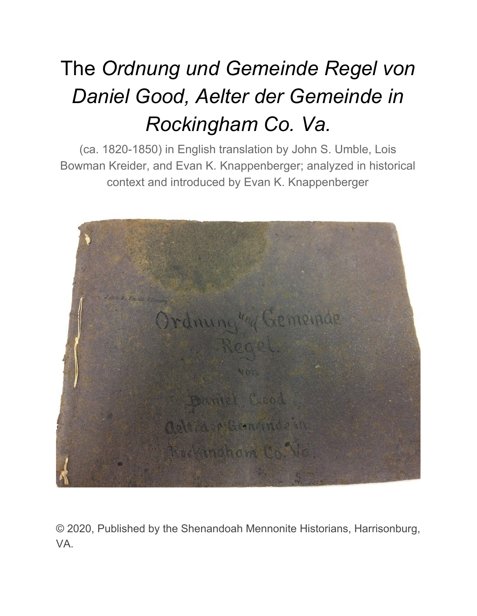# The *Ordnung und Gemeinde Regel von Daniel Good, Aelter der Gemeinde in Rockingham Co. Va.*

(ca. 1820-1850) in English translation by John S. Umble, Lois Bowman Kreider, and Evan K. Knappenberger; analyzed in historical context and introduced by Evan K. Knappenberger



© 2020, Published by the Shenandoah Mennonite Historians, Harrisonburg, VA.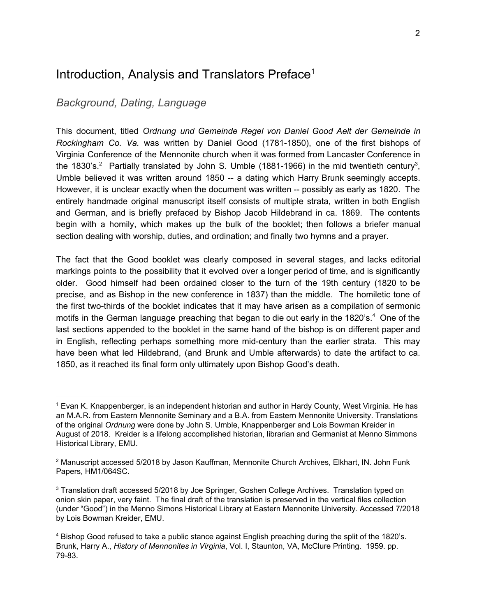## Introduction, Analysis and Translators Preface 1

## *Background, Dating, Language*

This document, titled *Ordnung und Gemeinde Regel von Daniel Good Aelt der Gemeinde in Rockingham Co. Va.* was written by Daniel Good (1781-1850), one of the first bishops of Virginia Conference of the Mennonite church when it was formed from Lancaster Conference in the 1830's.<sup>2</sup> Partially translated by John S. Umble (1881-1966) in the mid twentieth century<sup>3</sup>, Umble believed it was written around 1850 -- a dating which Harry Brunk seemingly accepts. However, it is unclear exactly when the document was written -- possibly as early as 1820. The entirely handmade original manuscript itself consists of multiple strata, written in both English and German, and is briefly prefaced by Bishop Jacob Hildebrand in ca. 1869. The contents begin with a homily, which makes up the bulk of the booklet; then follows a briefer manual section dealing with worship, duties, and ordination; and finally two hymns and a prayer.

The fact that the Good booklet was clearly composed in several stages, and lacks editorial markings points to the possibility that it evolved over a longer period of time, and is significantly older. Good himself had been ordained closer to the turn of the 19th century (1820 to be precise, and as Bishop in the new conference in 1837) than the middle. The homiletic tone of the first two-thirds of the booklet indicates that it may have arisen as a compilation of sermonic motifs in the German language preaching that began to die out early in the 1820's. $4$  One of the last sections appended to the booklet in the same hand of the bishop is on different paper and in English, reflecting perhaps something more mid-century than the earlier strata. This may have been what led Hildebrand, (and Brunk and Umble afterwards) to date the artifact to ca. 1850, as it reached its final form only ultimately upon Bishop Good's death.

<sup>1</sup> Evan K. Knappenberger, is an independent historian and author in Hardy County, West Virginia. He has an M.A.R. from Eastern Mennonite Seminary and a B.A. from Eastern Mennonite University. Translations of the original *Ordnung* were done by John S. Umble, Knappenberger and Lois Bowman Kreider in August of 2018. Kreider is a lifelong accomplished historian, librarian and Germanist at Menno Simmons Historical Library, EMU.

<sup>&</sup>lt;sup>2</sup> Manuscript accessed 5/2018 by Jason Kauffman, Mennonite Church Archives, Elkhart, IN. John Funk Papers, HM1/064SC.

<sup>&</sup>lt;sup>3</sup> Translation draft accessed 5/2018 by Joe Springer, Goshen College Archives. Translation typed on onion skin paper, very faint. The final draft of the translation is preserved in the vertical files collection (under "Good") in the Menno Simons Historical Library at Eastern Mennonite University. Accessed 7/2018 by Lois Bowman Kreider, EMU.

<sup>4</sup> Bishop Good refused to take a public stance against English preaching during the split of the 1820's. Brunk, Harry A., *History of Mennonites in Virginia*, Vol. I, Staunton, VA, McClure Printing. 1959. pp. 79-83.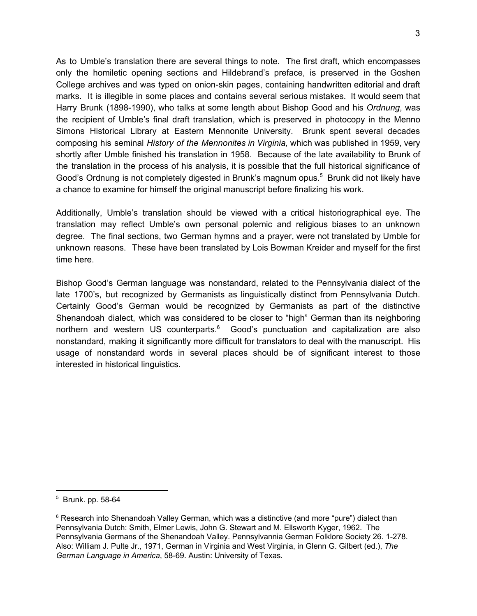As to Umble's translation there are several things to note. The first draft, which encompasses only the homiletic opening sections and Hildebrand's preface, is preserved in the Goshen College archives and was typed on onion-skin pages, containing handwritten editorial and draft marks. It is illegible in some places and contains several serious mistakes. It would seem that Harry Brunk (1898-1990), who talks at some length about Bishop Good and his *Ordnung*, was the recipient of Umble's final draft translation, which is preserved in photocopy in the Menno Simons Historical Library at Eastern Mennonite University. Brunk spent several decades composing his seminal *History of the Mennonites in Virginia,* which was published in 1959, very shortly after Umble finished his translation in 1958. Because of the late availability to Brunk of the translation in the process of his analysis, it is possible that the full historical significance of Good's Ordnung is not completely digested in Brunk's magnum opus.<sup>5</sup> Brunk did not likely have a chance to examine for himself the original manuscript before finalizing his work.

Additionally, Umble's translation should be viewed with a critical historiographical eye. The translation may reflect Umble's own personal polemic and religious biases to an unknown degree. The final sections, two German hymns and a prayer, were not translated by Umble for unknown reasons. These have been translated by Lois Bowman Kreider and myself for the first time here.

Bishop Good's German language was nonstandard, related to the Pennsylvania dialect of the late 1700's, but recognized by Germanists as linguistically distinct from Pennsylvania Dutch. Certainly Good's German would be recognized by Germanists as part of the distinctive Shenandoah dialect, which was considered to be closer to "high" German than its neighboring northern and western US counterparts. $6\degree$  Good's punctuation and capitalization are also nonstandard, making it significantly more difficult for translators to deal with the manuscript. His usage of nonstandard words in several places should be of significant interest to those interested in historical linguistics.

<sup>5</sup> Brunk. pp. 58-64

 $6$  Research into Shenandoah Valley German, which was a distinctive (and more "pure") dialect than Pennsylvania Dutch: Smith, Elmer Lewis, John G. Stewart and M. Ellsworth Kyger, 1962. The Pennsylvania Germans of the Shenandoah Valley. Pennsylvannia German Folklore Society 26. 1-278. Also: William J. Pulte Jr., 1971, German in Virginia and West Virginia, in Glenn G. Gilbert (ed.), *The German Language in America*, 58-69. Austin: University of Texas.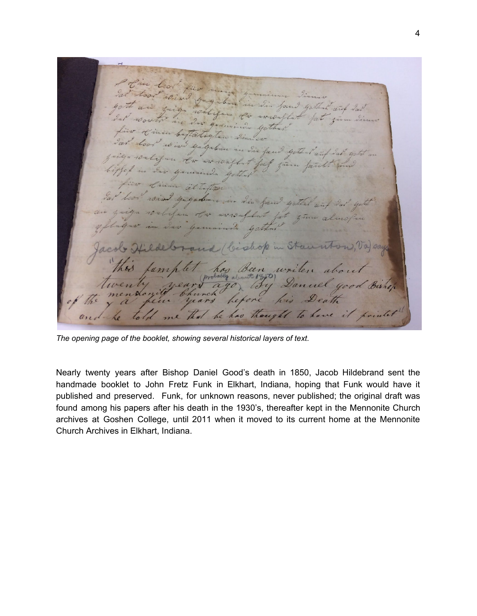King Grangenburn Jim Sound who cent dow  $-i i 2n$ Loilig Gabrin fam gothar an in form via found gottens  $112$ bishop in Staunton Been uni be has thought to have it pre  $\ell_{0}$ 

*The opening page of the booklet, showing several historical layers of text.*

Nearly twenty years after Bishop Daniel Good's death in 1850, Jacob Hildebrand sent the handmade booklet to John Fretz Funk in Elkhart, Indiana, hoping that Funk would have it published and preserved. Funk, for unknown reasons, never published; the original draft was found among his papers after his death in the 1930's, thereafter kept in the Mennonite Church archives at Goshen College, until 2011 when it moved to its current home at the Mennonite Church Archives in Elkhart, Indiana.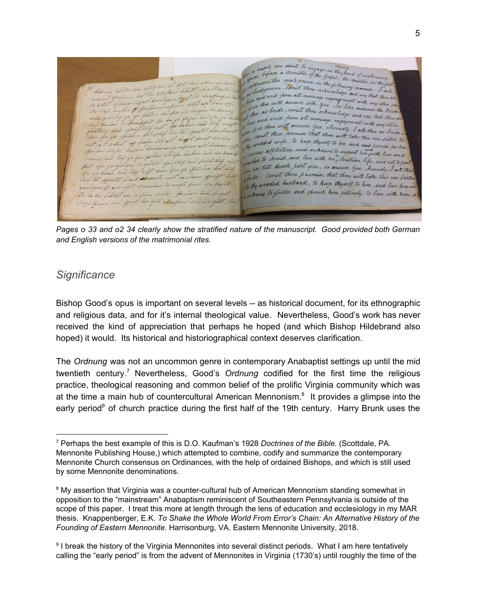We a couple are about to engage in the bond of matermony. Mittle Hest the male penson in the solpel, the minutes in the first.<br>We addressed the male penson in the sollowing moments in the first. I dividuate mom cannot the following moment in the fourth<br>If a hidegroom cannot thou actrosouledge and say that thou as<br>I i.u and word from all maninge engangement with the thou as We dhidiganom , camer and a throwledge and say the I savionne the ame with smower with yes . In like any other was I if it men bride, can't theu achinous like manner the Bride impour of 19m to the and void from all marging engagement with any that there This and those with answer yes. Secondly, I ask this any other show I can't these promise that thou with take this our sister to gta 19 no cand and the to help there with take this own sister to 2 tan inf for waship to cherish, and live with her climation life, and not to p Died ju ifus fallence in gu giflagan in gudul wonship to till death part you, so answer you seemed in the part for how cannot thou promise that thou with take this our brother spirited to out and worste mit the thy wedded husband, to keep thyself to him, and love him and financia in confito fand the ony was to foster and cherish him patiently; to live with him a but fullet an in faire builder In youth about Comme und fauf

Pages o 33 and o2 34 clearly show the stratified nature of the manuscript. Good provided both German *and English versions of the matrimonial rites.*

## *Significance*

Bishop Good's opus is important on several levels -- as historical document, for its ethnographic and religious data, and for it's internal theological value. Nevertheless, Good's work has never received the kind of appreciation that perhaps he hoped (and which Bishop Hildebrand also hoped) it would. Its historical and historiographical context deserves clarification.

The *Ordnung* was not an uncommon genre in contemporary Anabaptist settings up until the mid twentieth century.<sup>7</sup> Nevertheless, Good's Ordnung codified for the first time the religious practice, theological reasoning and common belief of the prolific Virginia community which was at the time a main hub of countercultural American Mennonism. $8$  It provides a glimpse into the early period<sup>9</sup> of church practice during the first half of the 19th century. Harry Brunk uses the

<sup>7</sup> Perhaps the best example of this is D.O. Kaufman's 1928 *Doctrines of the Bible.* (Scottdale, PA. Mennonite Publishing House,) which attempted to combine, codify and summarize the contemporary Mennonite Church consensus on Ordinances, with the help of ordained Bishops, and which is still used by some Mennonite denominations.

<sup>&</sup>lt;sup>8</sup> My assertion that Virginia was a counter-cultural hub of American Mennonism standing somewhat in opposition to the "mainstream" Anabaptism reminiscent of Southeastern Pennsylvania is outside of the scope of this paper. I treat this more at length through the lens of education and ecclesiology in my MAR thesis. Knappenberger, E.K. *To Shake the Whole World From Error's Chain: An Alternative History of the Founding of Eastern Mennonite*. Harrisonburg, VA. Eastern Mennonite University, 2018.

<sup>&</sup>lt;sup>9</sup> I break the history of the Virginia Mennonites into several distinct periods. What I am here tentatively calling the "early period" is from the advent of Mennonites in Virginia (1730's) until roughly the time of the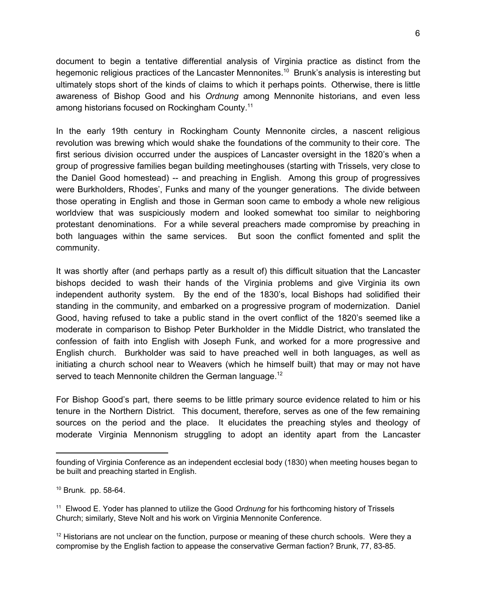document to begin a tentative differential analysis of Virginia practice as distinct from the hegemonic religious practices of the Lancaster Mennonites.<sup>10</sup> Brunk's analysis is interesting but ultimately stops short of the kinds of claims to which it perhaps points. Otherwise, there is little awareness of Bishop Good and his *Ordnung* among Mennonite historians, and even less among historians focused on Rockingham County.<sup>11</sup>

In the early 19th century in Rockingham County Mennonite circles, a nascent religious revolution was brewing which would shake the foundations of the community to their core. The first serious division occurred under the auspices of Lancaster oversight in the 1820's when a group of progressive families began building meetinghouses (starting with Trissels, very close to the Daniel Good homestead) -- and preaching in English. Among this group of progressives were Burkholders, Rhodes', Funks and many of the younger generations. The divide between those operating in English and those in German soon came to embody a whole new religious worldview that was suspiciously modern and looked somewhat too similar to neighboring protestant denominations. For a while several preachers made compromise by preaching in both languages within the same services. But soon the conflict fomented and split the community.

It was shortly after (and perhaps partly as a result of) this difficult situation that the Lancaster bishops decided to wash their hands of the Virginia problems and give Virginia its own independent authority system. By the end of the 1830's, local Bishops had solidified their standing in the community, and embarked on a progressive program of modernization. Daniel Good, having refused to take a public stand in the overt conflict of the 1820's seemed like a moderate in comparison to Bishop Peter Burkholder in the Middle District, who translated the confession of faith into English with Joseph Funk, and worked for a more progressive and English church. Burkholder was said to have preached well in both languages, as well as initiating a church school near to Weavers (which he himself built) that may or may not have served to teach Mennonite children the German language.<sup>12</sup>

For Bishop Good's part, there seems to be little primary source evidence related to him or his tenure in the Northern District. This document, therefore, serves as one of the few remaining sources on the period and the place. It elucidates the preaching styles and theology of moderate Virginia Mennonism struggling to adopt an identity apart from the Lancaster

founding of Virginia Conference as an independent ecclesial body (1830) when meeting houses began to be built and preaching started in English.

<sup>10</sup> Brunk. pp. 58-64.

<sup>11</sup> Elwood E. Yoder has planned to utilize the Good *Ordnung* for his forthcoming history of Trissels Church; similarly, Steve Nolt and his work on Virginia Mennonite Conference.

 $12$  Historians are not unclear on the function, purpose or meaning of these church schools. Were they a compromise by the English faction to appease the conservative German faction? Brunk, 77, 83-85.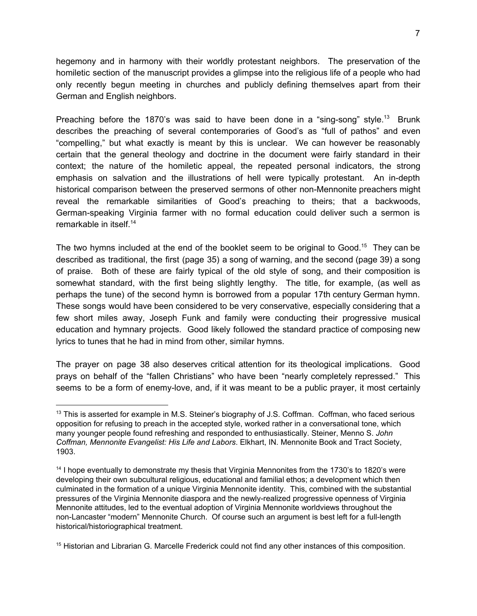hegemony and in harmony with their worldly protestant neighbors. The preservation of the homiletic section of the manuscript provides a glimpse into the religious life of a people who had only recently begun meeting in churches and publicly defining themselves apart from their German and English neighbors.

Preaching before the 1870's was said to have been done in a "sing-song" style.<sup>13</sup> Brunk describes the preaching of several contemporaries of Good's as "full of pathos" and even "compelling," but what exactly is meant by this is unclear. We can however be reasonably certain that the general theology and doctrine in the document were fairly standard in their context; the nature of the homiletic appeal, the repeated personal indicators, the strong emphasis on salvation and the illustrations of hell were typically protestant. An in-depth historical comparison between the preserved sermons of other non-Mennonite preachers might reveal the remarkable similarities of Good's preaching to theirs; that a backwoods, German-speaking Virginia farmer with no formal education could deliver such a sermon is remarkable in itself. 14

The two hymns included at the end of the booklet seem to be original to Good.<sup>15</sup> They can be described as traditional, the first (page 35) a song of warning, and the second (page 39) a song of praise. Both of these are fairly typical of the old style of song, and their composition is somewhat standard, with the first being slightly lengthy. The title, for example, (as well as perhaps the tune) of the second hymn is borrowed from a popular 17th century German hymn. These songs would have been considered to be very conservative, especially considering that a few short miles away, Joseph Funk and family were conducting their progressive musical education and hymnary projects. Good likely followed the standard practice of composing new lyrics to tunes that he had in mind from other, similar hymns.

The prayer on page 38 also deserves critical attention for its theological implications. Good prays on behalf of the "fallen Christians" who have been "nearly completely repressed." This seems to be a form of enemy-love, and, if it was meant to be a public prayer, it most certainly

<sup>&</sup>lt;sup>13</sup> This is asserted for example in M.S. Steiner's biography of J.S. Coffman. Coffman, who faced serious opposition for refusing to preach in the accepted style, worked rather in a conversational tone, which many younger people found refreshing and responded to enthusiastically. Steiner, Menno S. *John Coffman, Mennonite Evangelist: His Life and Labors*. Elkhart, IN. Mennonite Book and Tract Society, 1903.

<sup>&</sup>lt;sup>14</sup> I hope eventually to demonstrate my thesis that Virginia Mennonites from the 1730's to 1820's were developing their own subcultural religious, educational and familial ethos; a development which then culminated in the formation of a unique Virginia Mennonite identity. This, combined with the substantial pressures of the Virginia Mennonite diaspora and the newly-realized progressive openness of Virginia Mennonite attitudes, led to the eventual adoption of Virginia Mennonite worldviews throughout the non-Lancaster "modern" Mennonite Church. Of course such an argument is best left for a full-length historical/historiographical treatment.

<sup>&</sup>lt;sup>15</sup> Historian and Librarian G. Marcelle Frederick could not find any other instances of this composition.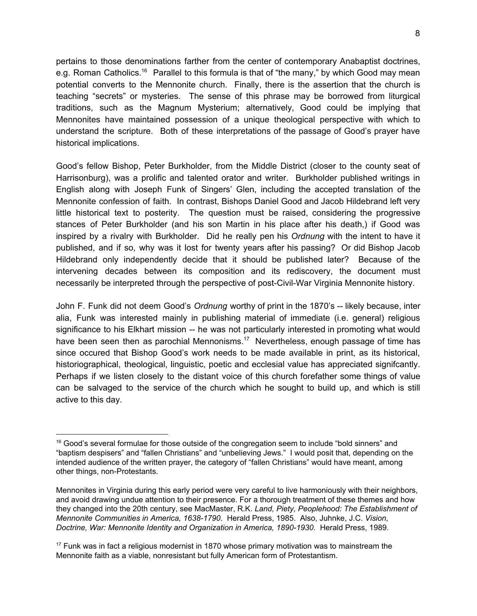pertains to those denominations farther from the center of contemporary Anabaptist doctrines, e.g. Roman Catholics.<sup>16</sup> Parallel to this formula is that of "the many," by which Good may mean potential converts to the Mennonite church. Finally, there is the assertion that the church is teaching "secrets" or mysteries. The sense of this phrase may be borrowed from liturgical traditions, such as the Magnum Mysterium; alternatively, Good could be implying that Mennonites have maintained possession of a unique theological perspective with which to understand the scripture. Both of these interpretations of the passage of Good's prayer have historical implications.

Good's fellow Bishop, Peter Burkholder, from the Middle District (closer to the county seat of Harrisonburg), was a prolific and talented orator and writer. Burkholder published writings in English along with Joseph Funk of Singers' Glen, including the accepted translation of the Mennonite confession of faith. In contrast, Bishops Daniel Good and Jacob Hildebrand left very little historical text to posterity. The question must be raised, considering the progressive stances of Peter Burkholder (and his son Martin in his place after his death,) if Good was inspired by a rivalry with Burkholder. Did he really pen his *Ordnung* with the intent to have it published, and if so, why was it lost for twenty years after his passing? Or did Bishop Jacob Hildebrand only independently decide that it should be published later? Because of the intervening decades between its composition and its rediscovery, the document must necessarily be interpreted through the perspective of post-Civil-War Virginia Mennonite history.

John F. Funk did not deem Good's *Ordnung* worthy of print in the 1870's -- likely because, inter alia, Funk was interested mainly in publishing material of immediate (i.e. general) religious significance to his Elkhart mission -- he was not particularly interested in promoting what would have been seen then as parochial Mennonisms.<sup>17</sup> Nevertheless, enough passage of time has since occured that Bishop Good's work needs to be made available in print, as its historical, historiographical, theological, linguistic, poetic and ecclesial value has appreciated signifcantly. Perhaps if we listen closely to the distant voice of this church forefather some things of value can be salvaged to the service of the church which he sought to build up, and which is still active to this day.

<sup>&</sup>lt;sup>16</sup> Good's several formulae for those outside of the congregation seem to include "bold sinners" and "baptism despisers" and "fallen Christians" and "unbelieving Jews." I would posit that, depending on the intended audience of the written prayer, the category of "fallen Christians" would have meant, among other things, non-Protestants.

Mennonites in Virginia during this early period were very careful to live harmoniously with their neighbors, and avoid drawing undue attention to their presence. For a thorough treatment of these themes and how they changed into the 20th century, see MacMaster, R.K. *Land, Piety, Peoplehood: The Establishment of Mennonite Communities in America, 1638-1790*. Herald Press, 1985. Also, Juhnke, J.C. *Vision, Doctrine, War: Mennonite Identity and Organization in America, 1890-1930*. Herald Press, 1989.

<sup>&</sup>lt;sup>17</sup> Funk was in fact a religious modernist in 1870 whose primary motivation was to mainstream the Mennonite faith as a viable, nonresistant but fully American form of Protestantism.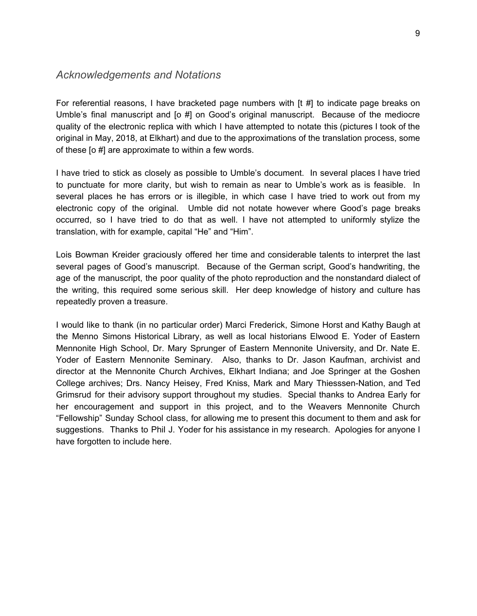#### *Acknowledgements and Notations*

For referential reasons, I have bracketed page numbers with [t #] to indicate page breaks on Umble's final manuscript and [o #] on Good's original manuscript. Because of the mediocre quality of the electronic replica with which I have attempted to notate this (pictures I took of the original in May, 2018, at Elkhart) and due to the approximations of the translation process, some of these [o #] are approximate to within a few words.

I have tried to stick as closely as possible to Umble's document. In several places I have tried to punctuate for more clarity, but wish to remain as near to Umble's work as is feasible. In several places he has errors or is illegible, in which case I have tried to work out from my electronic copy of the original. Umble did not notate however where Good's page breaks occurred, so I have tried to do that as well. I have not attempted to uniformly stylize the translation, with for example, capital "He" and "Him".

Lois Bowman Kreider graciously offered her time and considerable talents to interpret the last several pages of Good's manuscript. Because of the German script, Good's handwriting, the age of the manuscript, the poor quality of the photo reproduction and the nonstandard dialect of the writing, this required some serious skill. Her deep knowledge of history and culture has repeatedly proven a treasure.

I would like to thank (in no particular order) Marci Frederick, Simone Horst and Kathy Baugh at the Menno Simons Historical Library, as well as local historians Elwood E. Yoder of Eastern Mennonite High School, Dr. Mary Sprunger of Eastern Mennonite University, and Dr. Nate E. Yoder of Eastern Mennonite Seminary. Also, thanks to Dr. Jason Kaufman, archivist and director at the Mennonite Church Archives, Elkhart Indiana; and Joe Springer at the Goshen College archives; Drs. Nancy Heisey, Fred Kniss, Mark and Mary Thiesssen-Nation, and Ted Grimsrud for their advisory support throughout my studies. Special thanks to Andrea Early for her encouragement and support in this project, and to the Weavers Mennonite Church "Fellowship" Sunday School class, for allowing me to present this document to them and ask for suggestions. Thanks to Phil J. Yoder for his assistance in my research. Apologies for anyone I have forgotten to include here.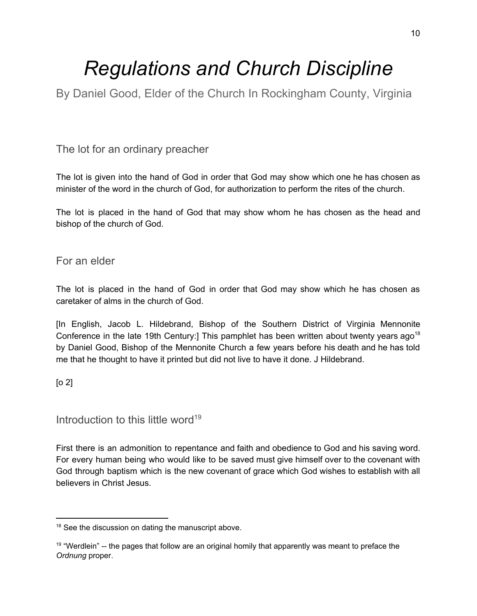## *Regulations and Church Discipline*

By Daniel Good, Elder of the Church In Rockingham County, Virginia

## The lot for an ordinary preacher

The lot is given into the hand of God in order that God may show which one he has chosen as minister of the word in the church of God, for authorization to perform the rites of the church.

The lot is placed in the hand of God that may show whom he has chosen as the head and bishop of the church of God.

## For an elder

The lot is placed in the hand of God in order that God may show which he has chosen as caretaker of alms in the church of God.

[In English, Jacob L. Hildebrand, Bishop of the Southern District of Virginia Mennonite Conference in the late 19th Century:] This pamphlet has been written about twenty years ago<sup>18</sup> by Daniel Good, Bishop of the Mennonite Church a few years before his death and he has told me that he thought to have it printed but did not live to have it done. J Hildebrand.

#### [o 2]

## Introduction to this little word 19

First there is an admonition to repentance and faith and obedience to God and his saving word. For every human being who would like to be saved must give himself over to the covenant with God through baptism which is the new covenant of grace which God wishes to establish with all believers in Christ Jesus.

<sup>&</sup>lt;sup>18</sup> See the discussion on dating the manuscript above.

<sup>&</sup>lt;sup>19</sup> "Werdlein" -- the pages that follow are an original homily that apparently was meant to preface the *Ordnung* proper.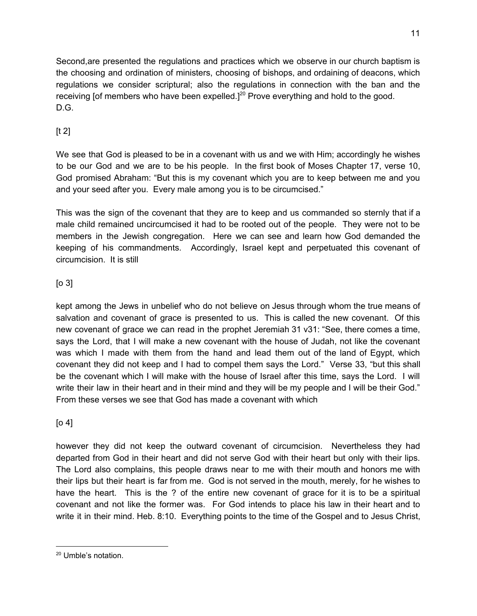Second,are presented the regulations and practices which we observe in our church baptism is the choosing and ordination of ministers, choosing of bishops, and ordaining of deacons, which regulations we consider scriptural; also the regulations in connection with the ban and the receiving [of members who have been expelled.] $^{20}$  Prove everything and hold to the good. D.G.

## $[t 2]$

We see that God is pleased to be in a covenant with us and we with Him; accordingly he wishes to be our God and we are to be his people. In the first book of Moses Chapter 17, verse 10, God promised Abraham: "But this is my covenant which you are to keep between me and you and your seed after you. Every male among you is to be circumcised."

This was the sign of the covenant that they are to keep and us commanded so sternly that if a male child remained uncircumcised it had to be rooted out of the people. They were not to be members in the Jewish congregation. Here we can see and learn how God demanded the keeping of his commandments. Accordingly, Israel kept and perpetuated this covenant of circumcision. It is still

## $[0 3]$

kept among the Jews in unbelief who do not believe on Jesus through whom the true means of salvation and covenant of grace is presented to us. This is called the new covenant. Of this new covenant of grace we can read in the prophet Jeremiah 31 v31: "See, there comes a time, says the Lord, that I will make a new covenant with the house of Judah, not like the covenant was which I made with them from the hand and lead them out of the land of Egypt, which covenant they did not keep and I had to compel them says the Lord." Verse 33, "but this shall be the covenant which I will make with the house of Israel after this time, says the Lord. I will write their law in their heart and in their mind and they will be my people and I will be their God." From these verses we see that God has made a covenant with which

## [o 4]

however they did not keep the outward covenant of circumcision. Nevertheless they had departed from God in their heart and did not serve God with their heart but only with their lips. The Lord also complains, this people draws near to me with their mouth and honors me with their lips but their heart is far from me. God is not served in the mouth, merely, for he wishes to have the heart. This is the ? of the entire new covenant of grace for it is to be a spiritual covenant and not like the former was. For God intends to place his law in their heart and to write it in their mind. Heb. 8:10. Everything points to the time of the Gospel and to Jesus Christ,

<sup>20</sup> Umble's notation.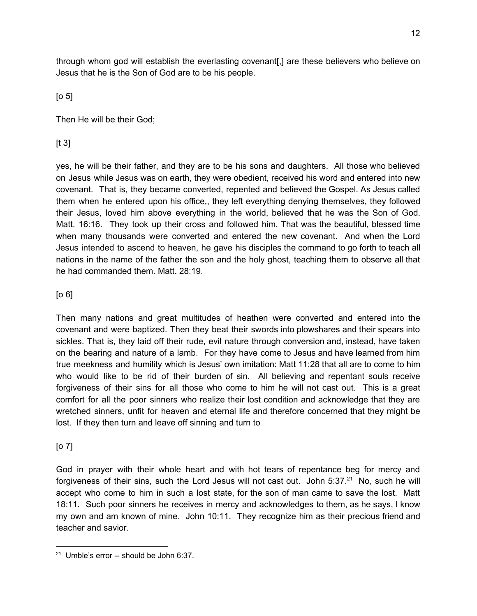through whom god will establish the everlasting covenant[,] are these believers who believe on Jesus that he is the Son of God are to be his people.

 $[0, 5]$ 

Then He will be their God;

## $[t 3]$

yes, he will be their father, and they are to be his sons and daughters. All those who believed on Jesus while Jesus was on earth, they were obedient, received his word and entered into new covenant. That is, they became converted, repented and believed the Gospel. As Jesus called them when he entered upon his office,, they left everything denying themselves, they followed their Jesus, loved him above everything in the world, believed that he was the Son of God. Matt. 16:16. They took up their cross and followed him. That was the beautiful, blessed time when many thousands were converted and entered the new covenant. And when the Lord Jesus intended to ascend to heaven, he gave his disciples the command to go forth to teach all nations in the name of the father the son and the holy ghost, teaching them to observe all that he had commanded them. Matt. 28:19.

## [o 6]

Then many nations and great multitudes of heathen were converted and entered into the covenant and were baptized. Then they beat their swords into plowshares and their spears into sickles. That is, they laid off their rude, evil nature through conversion and, instead, have taken on the bearing and nature of a lamb. For they have come to Jesus and have learned from him true meekness and humility which is Jesus' own imitation: Matt 11:28 that all are to come to him who would like to be rid of their burden of sin. All believing and repentant souls receive forgiveness of their sins for all those who come to him he will not cast out. This is a great comfort for all the poor sinners who realize their lost condition and acknowledge that they are wretched sinners, unfit for heaven and eternal life and therefore concerned that they might be lost. If they then turn and leave off sinning and turn to

#### [o 7]

God in prayer with their whole heart and with hot tears of repentance beg for mercy and forgiveness of their sins, such the Lord Jesus will not cast out. John  $5:37.^{21}$  No, such he will accept who come to him in such a lost state, for the son of man came to save the lost. Matt 18:11. Such poor sinners he receives in mercy and acknowledges to them, as he says, I know my own and am known of mine. John 10:11. They recognize him as their precious friend and teacher and savior.

<sup>&</sup>lt;sup>21</sup> Umble's error -- should be John 6:37.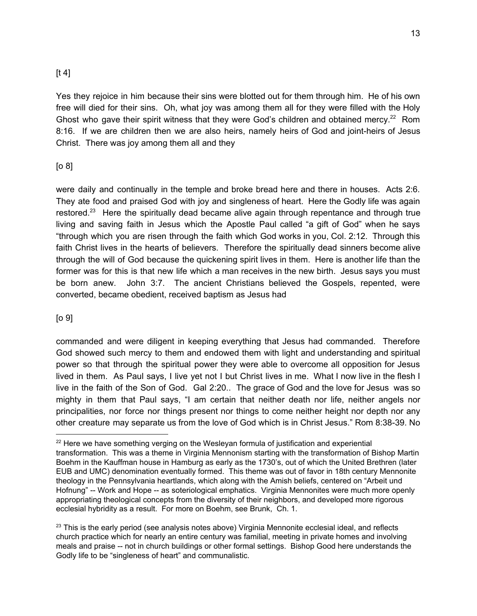## $[t 4]$

Yes they rejoice in him because their sins were blotted out for them through him. He of his own free will died for their sins. Oh, what joy was among them all for they were filled with the Holy Ghost who gave their spirit witness that they were God's children and obtained mercy.<sup>22</sup> Rom 8:16. If we are children then we are also heirs, namely heirs of God and joint-heirs of Jesus Christ. There was joy among them all and they

## [o 8]

were daily and continually in the temple and broke bread here and there in houses. Acts 2:6. They ate food and praised God with joy and singleness of heart. Here the Godly life was again restored.<sup>23</sup> Here the spiritually dead became alive again through repentance and through true living and saving faith in Jesus which the Apostle Paul called "a gift of God" when he says "through which you are risen through the faith which God works in you, Col. 2:12. Through this faith Christ lives in the hearts of believers. Therefore the spiritually dead sinners become alive through the will of God because the quickening spirit lives in them. Here is another life than the former was for this is that new life which a man receives in the new birth. Jesus says you must be born anew. John 3:7. The ancient Christians believed the Gospels, repented, were converted, became obedient, received baptism as Jesus had

#### [o 9]

commanded and were diligent in keeping everything that Jesus had commanded. Therefore God showed such mercy to them and endowed them with light and understanding and spiritual power so that through the spiritual power they were able to overcome all opposition for Jesus lived in them. As Paul says, I live yet not I but Christ lives in me. What I now live in the flesh I live in the faith of the Son of God. Gal 2:20.. The grace of God and the love for Jesus was so mighty in them that Paul says, "I am certain that neither death nor life, neither angels nor principalities, nor force nor things present nor things to come neither height nor depth nor any other creature may separate us from the love of God which is in Christ Jesus." Rom 8:38-39. No

 $22$  Here we have something verging on the Wesleyan formula of justification and experiential transformation. This was a theme in Virginia Mennonism starting with the transformation of Bishop Martin Boehm in the Kauffman house in Hamburg as early as the 1730's, out of which the United Brethren (later EUB and UMC) denomination eventually formed. This theme was out of favor in 18th century Mennonite theology in the Pennsylvania heartlands, which along with the Amish beliefs, centered on "Arbeit und Hofnung" -- Work and Hope -- as soteriological emphatics. Virginia Mennonites were much more openly appropriating theological concepts from the diversity of their neighbors, and developed more rigorous ecclesial hybridity as a result. For more on Boehm, see Brunk, Ch. 1.

 $23$  This is the early period (see analysis notes above) Virginia Mennonite ecclesial ideal, and reflects church practice which for nearly an entire century was familial, meeting in private homes and involving meals and praise -- not in church buildings or other formal settings. Bishop Good here understands the Godly life to be "singleness of heart" and communalistic.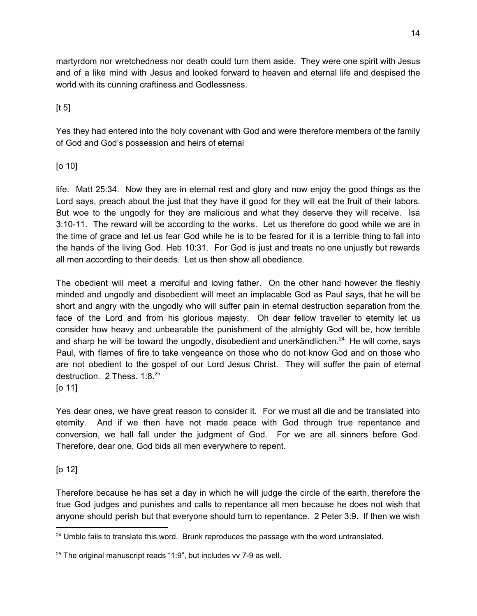martyrdom nor wretchedness nor death could turn them aside. They were one spirit with Jesus and of a like mind with Jesus and looked forward to heaven and eternal life and despised the world with its cunning craftiness and Godlessness.

 $[t 5]$ 

Yes they had entered into the holy covenant with God and were therefore members of the family of God and God's possession and heirs of eternal

[o 10]

life. Matt 25:34. Now they are in eternal rest and glory and now enjoy the good things as the Lord says, preach about the just that they have it good for they will eat the fruit of their labors. But woe to the ungodly for they are malicious and what they deserve they will receive. Isa 3:10-11. The reward will be according to the works. Let us therefore do good while we are in the time of grace and let us fear God while he is to be feared for it is a terrible thing to fall into the hands of the living God. Heb 10:31. For God is just and treats no one unjustly but rewards all men according to their deeds. Let us then show all obedience.

The obedient will meet a merciful and loving father. On the other hand however the fleshly minded and ungodly and disobedient will meet an implacable God as Paul says, that he will be short and angry with the ungodly who will suffer pain in eternal destruction separation from the face of the Lord and from his glorious majesty. Oh dear fellow traveller to eternity let us consider how heavy and unbearable the punishment of the almighty God will be, how terrible and sharp he will be toward the ungodly, disobedient and unerkändlichen. $^{24}$  He will come, says Paul, with flames of fire to take vengeance on those who do not know God and on those who are not obedient to the gospel of our Lord Jesus Christ. They will suffer the pain of eternal destruction. 2 Thess. 1:8.<sup>25</sup>

[o 11]

Yes dear ones, we have great reason to consider it. For we must all die and be translated into eternity. And if we then have not made peace with God through true repentance and conversion, we hall fall under the judgment of God. For we are all sinners before God. Therefore, dear one, God bids all men everywhere to repent.

## [o 12]

Therefore because he has set a day in which he will judge the circle of the earth, therefore the true God judges and punishes and calls to repentance all men because he does not wish that anyone should perish but that everyone should turn to repentance. 2 Peter 3:9. If then we wish

<sup>&</sup>lt;sup>24</sup> Umble fails to translate this word. Brunk reproduces the passage with the word untranslated.

 $25$  The original manuscript reads "1:9", but includes vv 7-9 as well.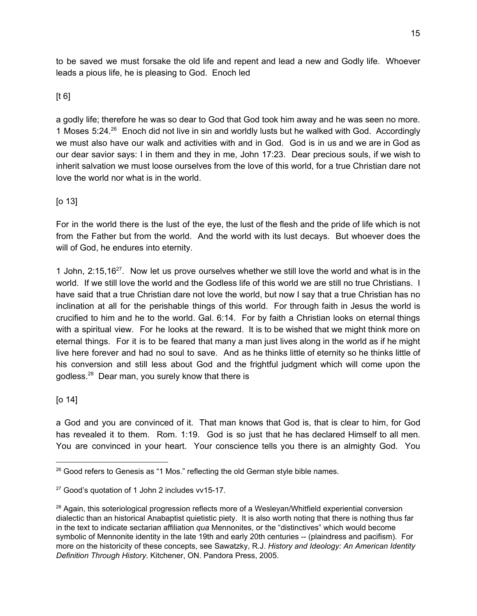to be saved we must forsake the old life and repent and lead a new and Godly life. Whoever leads a pious life, he is pleasing to God. Enoch led

## $[t 6]$

a godly life; therefore he was so dear to God that God took him away and he was seen no more. 1 Moses 5:24.<sup>26</sup> Enoch did not live in sin and worldly lusts but he walked with God. Accordingly we must also have our walk and activities with and in God. God is in us and we are in God as our dear savior says: I in them and they in me, John 17:23. Dear precious souls, if we wish to inherit salvation we must loose ourselves from the love of this world, for a true Christian dare not love the world nor what is in the world.

## [o 13]

For in the world there is the lust of the eye, the lust of the flesh and the pride of life which is not from the Father but from the world. And the world with its lust decays. But whoever does the will of God, he endures into eternity.

1 John,  $2:15,16^{27}$ . Now let us prove ourselves whether we still love the world and what is in the world. If we still love the world and the Godless life of this world we are still no true Christians. I have said that a true Christian dare not love the world, but now I say that a true Christian has no inclination at all for the perishable things of this world. For through faith in Jesus the world is crucified to him and he to the world. Gal. 6:14. For by faith a Christian looks on eternal things with a spiritual view. For he looks at the reward. It is to be wished that we might think more on eternal things. For it is to be feared that many a man just lives along in the world as if he might live here forever and had no soul to save. And as he thinks little of eternity so he thinks little of his conversion and still less about God and the frightful judgment which will come upon the godless.<sup>28</sup> Dear man, you surely know that there is

## [o 14]

a God and you are convinced of it. That man knows that God is, that is clear to him, for God has revealed it to them. Rom. 1:19. God is so just that he has declared Himself to all men. You are convinced in your heart. Your conscience tells you there is an almighty God. You

 $26$  Good refers to Genesis as "1 Mos." reflecting the old German style bible names.

<sup>&</sup>lt;sup>27</sup> Good's quotation of 1 John 2 includes vv15-17.

<sup>&</sup>lt;sup>28</sup> Again, this soteriological progression reflects more of a Wesleyan/Whitfield experiential conversion dialectic than an historical Anabaptist quietistic piety. It is also worth noting that there is nothing thus far in the text to indicate sectarian affiliation *qua* Mennonites, or the "distinctives" which would become symbolic of Mennonite identity in the late 19th and early 20th centuries -- (plaindress and pacifism). For more on the historicity of these concepts, see Sawatzky, R.J. *History and Ideology: An American Identity Definition Through History*. Kitchener, ON. Pandora Press, 2005.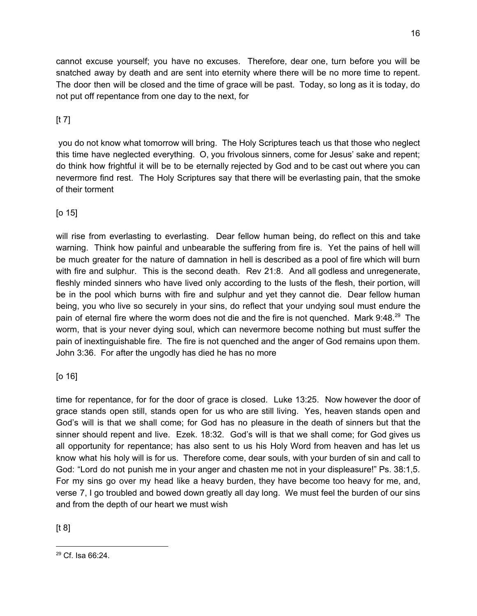cannot excuse yourself; you have no excuses. Therefore, dear one, turn before you will be snatched away by death and are sent into eternity where there will be no more time to repent. The door then will be closed and the time of grace will be past. Today, so long as it is today, do not put off repentance from one day to the next, for

## [t 7]

you do not know what tomorrow will bring. The Holy Scriptures teach us that those who neglect this time have neglected everything. O, you frivolous sinners, come for Jesus' sake and repent; do think how frightful it will be to be eternally rejected by God and to be cast out where you can nevermore find rest. The Holy Scriptures say that there will be everlasting pain, that the smoke of their torment

## [o 15]

will rise from everlasting to everlasting. Dear fellow human being, do reflect on this and take warning. Think how painful and unbearable the suffering from fire is. Yet the pains of hell will be much greater for the nature of damnation in hell is described as a pool of fire which will burn with fire and sulphur. This is the second death. Rev 21:8. And all godless and unregenerate, fleshly minded sinners who have lived only according to the lusts of the flesh, their portion, will be in the pool which burns with fire and sulphur and yet they cannot die. Dear fellow human being, you who live so securely in your sins, do reflect that your undying soul must endure the pain of eternal fire where the worm does not die and the fire is not quenched. Mark  $9:48.^{29}$  The worm, that is your never dying soul, which can nevermore become nothing but must suffer the pain of inextinguishable fire. The fire is not quenched and the anger of God remains upon them. John 3:36. For after the ungodly has died he has no more

## [o 16]

time for repentance, for for the door of grace is closed. Luke 13:25. Now however the door of grace stands open still, stands open for us who are still living. Yes, heaven stands open and God's will is that we shall come; for God has no pleasure in the death of sinners but that the sinner should repent and live. Ezek. 18:32. God's will is that we shall come; for God gives us all opportunity for repentance; has also sent to us his Holy Word from heaven and has let us know what his holy will is for us. Therefore come, dear souls, with your burden of sin and call to God: "Lord do not punish me in your anger and chasten me not in your displeasure!" Ps. 38:1,5. For my sins go over my head like a heavy burden, they have become too heavy for me, and, verse 7, I go troubled and bowed down greatly all day long. We must feel the burden of our sins and from the depth of our heart we must wish

[t 8]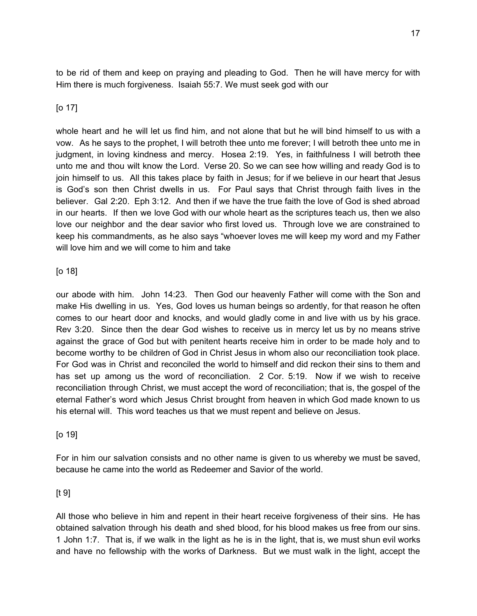to be rid of them and keep on praying and pleading to God. Then he will have mercy for with Him there is much forgiveness. Isaiah 55:7. We must seek god with our

#### [o 17]

whole heart and he will let us find him, and not alone that but he will bind himself to us with a vow. As he says to the prophet, I will betroth thee unto me forever; I will betroth thee unto me in judgment, in loving kindness and mercy. Hosea 2:19. Yes, in faithfulness I will betroth thee unto me and thou wilt know the Lord. Verse 20. So we can see how willing and ready God is to join himself to us. All this takes place by faith in Jesus; for if we believe in our heart that Jesus is God's son then Christ dwells in us. For Paul says that Christ through faith lives in the believer. Gal 2:20. Eph 3:12. And then if we have the true faith the love of God is shed abroad in our hearts. If then we love God with our whole heart as the scriptures teach us, then we also love our neighbor and the dear savior who first loved us. Through love we are constrained to keep his commandments, as he also says "whoever loves me will keep my word and my Father will love him and we will come to him and take

#### [o 18]

our abode with him. John 14:23. Then God our heavenly Father will come with the Son and make His dwelling in us. Yes, God loves us human beings so ardently, for that reason he often comes to our heart door and knocks, and would gladly come in and live with us by his grace. Rev 3:20. Since then the dear God wishes to receive us in mercy let us by no means strive against the grace of God but with penitent hearts receive him in order to be made holy and to become worthy to be children of God in Christ Jesus in whom also our reconciliation took place. For God was in Christ and reconciled the world to himself and did reckon their sins to them and has set up among us the word of reconciliation. 2 Cor. 5:19. Now if we wish to receive reconciliation through Christ, we must accept the word of reconciliation; that is, the gospel of the eternal Father's word which Jesus Christ brought from heaven in which God made known to us his eternal will. This word teaches us that we must repent and believe on Jesus.

#### [o 19]

For in him our salvation consists and no other name is given to us whereby we must be saved, because he came into the world as Redeemer and Savior of the world.

#### $[t 9]$

All those who believe in him and repent in their heart receive forgiveness of their sins. He has obtained salvation through his death and shed blood, for his blood makes us free from our sins. 1 John 1:7. That is, if we walk in the light as he is in the light, that is, we must shun evil works and have no fellowship with the works of Darkness. But we must walk in the light, accept the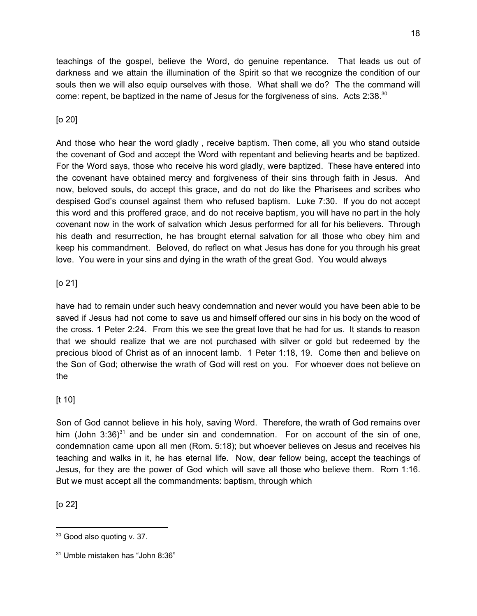teachings of the gospel, believe the Word, do genuine repentance. That leads us out of darkness and we attain the illumination of the Spirit so that we recognize the condition of our souls then we will also equip ourselves with those. What shall we do? The the command will come: repent, be baptized in the name of Jesus for the forgiveness of sins. Acts 2:38. $30$ 

## [o 20]

And those who hear the word gladly , receive baptism. Then come, all you who stand outside the covenant of God and accept the Word with repentant and believing hearts and be baptized. For the Word says, those who receive his word gladly, were baptized. These have entered into the covenant have obtained mercy and forgiveness of their sins through faith in Jesus. And now, beloved souls, do accept this grace, and do not do like the Pharisees and scribes who despised God's counsel against them who refused baptism. Luke 7:30. If you do not accept this word and this proffered grace, and do not receive baptism, you will have no part in the holy covenant now in the work of salvation which Jesus performed for all for his believers. Through his death and resurrection, he has brought eternal salvation for all those who obey him and keep his commandment. Beloved, do reflect on what Jesus has done for you through his great love. You were in your sins and dying in the wrath of the great God. You would always

## [o 21]

have had to remain under such heavy condemnation and never would you have been able to be saved if Jesus had not come to save us and himself offered our sins in his body on the wood of the cross. 1 Peter 2:24. From this we see the great love that he had for us. It stands to reason that we should realize that we are not purchased with silver or gold but redeemed by the precious blood of Christ as of an innocent lamb. 1 Peter 1:18, 19. Come then and believe on the Son of God; otherwise the wrath of God will rest on you. For whoever does not believe on the

#### [t 10]

Son of God cannot believe in his holy, saving Word. Therefore, the wrath of God remains over him (John 3:36)<sup>31</sup> and be under sin and condemnation. For on account of the sin of one, condemnation came upon all men (Rom. 5:18); but whoever believes on Jesus and receives his teaching and walks in it, he has eternal life. Now, dear fellow being, accept the teachings of Jesus, for they are the power of God which will save all those who believe them. Rom 1:16. But we must accept all the commandments: baptism, through which

[o 22]

<sup>&</sup>lt;sup>30</sup> Good also quoting v. 37.

<sup>31</sup> Umble mistaken has "John 8:36"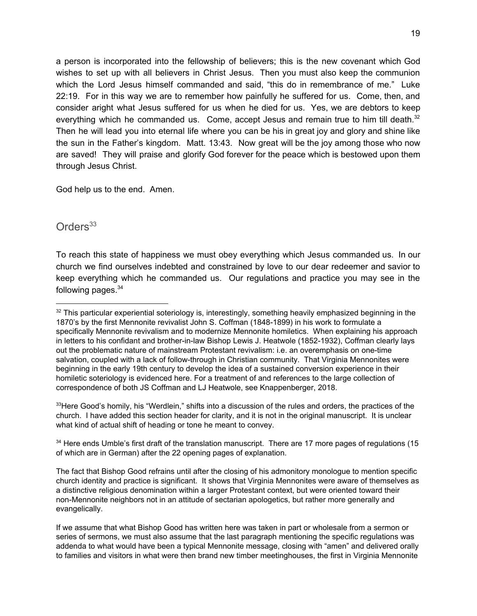a person is incorporated into the fellowship of believers; this is the new covenant which God wishes to set up with all believers in Christ Jesus. Then you must also keep the communion which the Lord Jesus himself commanded and said, "this do in remembrance of me." Luke 22:19. For in this way we are to remember how painfully he suffered for us. Come, then, and consider aright what Jesus suffered for us when he died for us. Yes, we are debtors to keep everything which he commanded us. Come, accept Jesus and remain true to him till death.<sup>32</sup> Then he will lead you into eternal life where you can be his in great joy and glory and shine like the sun in the Father's kingdom. Matt. 13:43. Now great will be the joy among those who now are saved! They will praise and glorify God forever for the peace which is bestowed upon them through Jesus Christ.

God help us to the end. Amen.

## Orders<sup>33</sup>

To reach this state of happiness we must obey everything which Jesus commanded us. In our church we find ourselves indebted and constrained by love to our dear redeemer and savior to keep everything which he commanded us. Our regulations and practice you may see in the following pages.<sup>34</sup>

33 Here Good's homily, his "Werdlein," shifts into a discussion of the rules and orders, the practices of the church. I have added this section header for clarity, and it is not in the original manuscript. It is unclear what kind of actual shift of heading or tone he meant to convey.

<sup>34</sup> Here ends Umble's first draft of the translation manuscript. There are 17 more pages of regulations (15 of which are in German) after the 22 opening pages of explanation.

 $32$  This particular experiential soteriology is, interestingly, something heavily emphasized beginning in the 1870's by the first Mennonite revivalist John S. Coffman (1848-1899) in his work to formulate a specifically Mennonite revivalism and to modernize Mennonite homiletics. When explaining his approach in letters to his confidant and brother-in-law Bishop Lewis J. Heatwole (1852-1932), Coffman clearly lays out the problematic nature of mainstream Protestant revivalism: i.e. an overemphasis on one-time salvation, coupled with a lack of follow-through in Christian community. That Virginia Mennonites were beginning in the early 19th century to develop the idea of a sustained conversion experience in their homiletic soteriology is evidenced here. For a treatment of and references to the large collection of correspondence of both JS Coffman and LJ Heatwole, see Knappenberger, 2018.

The fact that Bishop Good refrains until after the closing of his admonitory monologue to mention specific church identity and practice is significant. It shows that Virginia Mennonites were aware of themselves as a distinctive religious denomination within a larger Protestant context, but were oriented toward their non-Mennonite neighbors not in an attitude of sectarian apologetics, but rather more generally and evangelically.

If we assume that what Bishop Good has written here was taken in part or wholesale from a sermon or series of sermons, we must also assume that the last paragraph mentioning the specific regulations was addenda to what would have been a typical Mennonite message, closing with "amen" and delivered orally to families and visitors in what were then brand new timber meetinghouses, the first in Virginia Mennonite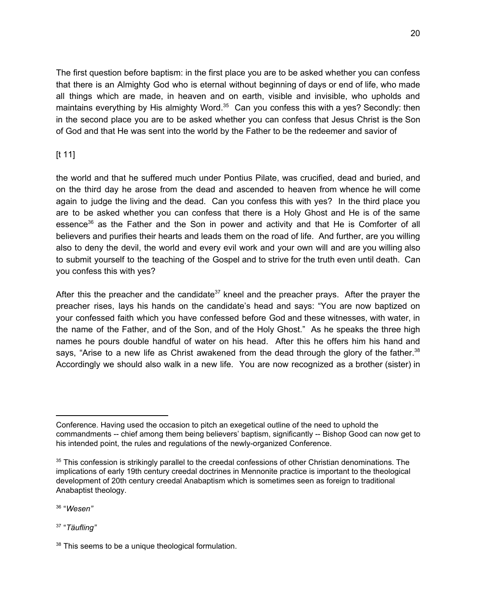The first question before baptism: in the first place you are to be asked whether you can confess that there is an Almighty God who is eternal without beginning of days or end of life, who made all things which are made, in heaven and on earth, visible and invisible, who upholds and maintains everything by His almighty Word. $35$  Can you confess this with a yes? Secondly: then in the second place you are to be asked whether you can confess that Jesus Christ is the Son of God and that He was sent into the world by the Father to be the redeemer and savior of

## [t 11]

the world and that he suffered much under Pontius Pilate, was crucified, dead and buried, and on the third day he arose from the dead and ascended to heaven from whence he will come again to judge the living and the dead. Can you confess this with yes? In the third place you are to be asked whether you can confess that there is a Holy Ghost and He is of the same essence<sup>36</sup> as the Father and the Son in power and activity and that He is Comforter of all believers and purifies their hearts and leads them on the road of life. And further, are you willing also to deny the devil, the world and every evil work and your own will and are you willing also to submit yourself to the teaching of the Gospel and to strive for the truth even until death. Can you confess this with yes?

After this the preacher and the candidate<sup>37</sup> kneel and the preacher prays. After the prayer the preacher rises, lays his hands on the candidate's head and says: "You are now baptized on your confessed faith which you have confessed before God and these witnesses, with water, in the name of the Father, and of the Son, and of the Holy Ghost." As he speaks the three high names he pours double handful of water on his head. After this he offers him his hand and says, "Arise to a new life as Christ awakened from the dead through the glory of the father.<sup>38</sup> Accordingly we should also walk in a new life. You are now recognized as a brother (sister) in

36 "*Wesen"*

37 "*Täufling"*

Conference. Having used the occasion to pitch an exegetical outline of the need to uphold the commandments -- chief among them being believers' baptism, significantly -- Bishop Good can now get to his intended point, the rules and regulations of the newly-organized Conference.

<sup>&</sup>lt;sup>35</sup> This confession is strikingly parallel to the creedal confessions of other Christian denominations. The implications of early 19th century creedal doctrines in Mennonite practice is important to the theological development of 20th century creedal Anabaptism which is sometimes seen as foreign to traditional Anabaptist theology.

<sup>&</sup>lt;sup>38</sup> This seems to be a unique theological formulation.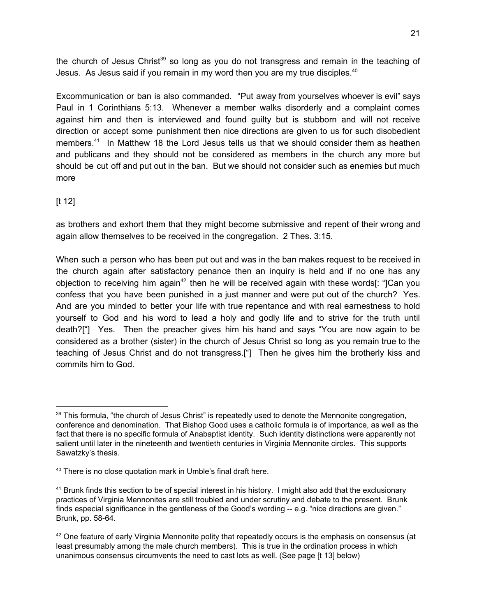the church of Jesus Christ<sup>39</sup> so long as you do not transgress and remain in the teaching of Jesus. As Jesus said if you remain in my word then you are my true disciples.<sup>40</sup>

Excommunication or ban is also commanded. "Put away from yourselves whoever is evil" says Paul in 1 Corinthians 5:13. Whenever a member walks disorderly and a complaint comes against him and then is interviewed and found guilty but is stubborn and will not receive direction or accept some punishment then nice directions are given to us for such disobedient members. $41$  In Matthew 18 the Lord Jesus tells us that we should consider them as heathen and publicans and they should not be considered as members in the church any more but should be cut off and put out in the ban. But we should not consider such as enemies but much more

## [t 12]

as brothers and exhort them that they might become submissive and repent of their wrong and again allow themselves to be received in the congregation. 2 Thes. 3:15.

When such a person who has been put out and was in the ban makes request to be received in the church again after satisfactory penance then an inquiry is held and if no one has any objection to receiving him again<sup>42</sup> then he will be received again with these words[: "]Can you confess that you have been punished in a just manner and were put out of the church? Yes. And are you minded to better your life with true repentance and with real earnestness to hold yourself to God and his word to lead a holy and godly life and to strive for the truth until death?["] Yes. Then the preacher gives him his hand and says "You are now again to be considered as a brother (sister) in the church of Jesus Christ so long as you remain true to the teaching of Jesus Christ and do not transgress.["] Then he gives him the brotherly kiss and commits him to God.

<sup>&</sup>lt;sup>39</sup> This formula, "the church of Jesus Christ" is repeatedly used to denote the Mennonite congregation, conference and denomination. That Bishop Good uses a catholic formula is of importance, as well as the fact that there is no specific formula of Anabaptist identity. Such identity distinctions were apparently not salient until later in the nineteenth and twentieth centuries in Virginia Mennonite circles. This supports Sawatzky's thesis.

<sup>&</sup>lt;sup>40</sup> There is no close quotation mark in Umble's final draft here.

<sup>&</sup>lt;sup>41</sup> Brunk finds this section to be of special interest in his history. I might also add that the exclusionary practices of Virginia Mennonites are still troubled and under scrutiny and debate to the present. Brunk finds especial significance in the gentleness of the Good's wording -- e.g. "nice directions are given." Brunk, pp. 58-64.

<sup>&</sup>lt;sup>42</sup> One feature of early Virginia Mennonite polity that repeatedly occurs is the emphasis on consensus (at least presumably among the male church members). This is true in the ordination process in which unanimous consensus circumvents the need to cast lots as well. (See page [t 13] below)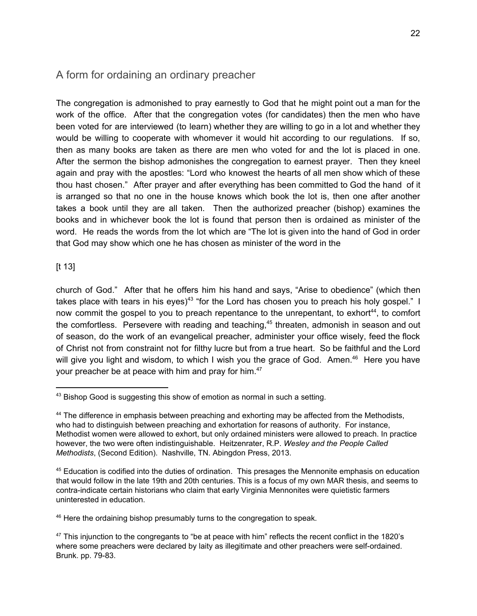## A form for ordaining an ordinary preacher

The congregation is admonished to pray earnestly to God that he might point out a man for the work of the office. After that the congregation votes (for candidates) then the men who have been voted for are interviewed (to learn) whether they are willing to go in a lot and whether they would be willing to cooperate with whomever it would hit according to our regulations. If so, then as many books are taken as there are men who voted for and the lot is placed in one. After the sermon the bishop admonishes the congregation to earnest prayer. Then they kneel again and pray with the apostles: "Lord who knowest the hearts of all men show which of these thou hast chosen." After prayer and after everything has been committed to God the hand of it is arranged so that no one in the house knows which book the lot is, then one after another takes a book until they are all taken. Then the authorized preacher (bishop) examines the books and in whichever book the lot is found that person then is ordained as minister of the word. He reads the words from the lot which are "The lot is given into the hand of God in order that God may show which one he has chosen as minister of the word in the

[t 13]

church of God." After that he offers him his hand and says, "Arise to obedience" (which then takes place with tears in his eyes)<sup>43</sup> "for the Lord has chosen you to preach his holy gospel." I now commit the gospel to you to preach repentance to the unrepentant, to exhort<sup>44</sup>, to comfort the comfortless. Persevere with reading and teaching, $45$  threaten, admonish in season and out of season, do the work of an evangelical preacher, administer your office wisely, feed the flock of Christ not from constraint not for filthy lucre but from a true heart. So be faithful and the Lord will give you light and wisdom, to which I wish you the grace of God. Amen. $46$  Here you have your preacher be at peace with him and pray for him.<sup>47</sup>

<sup>&</sup>lt;sup>43</sup> Bishop Good is suggesting this show of emotion as normal in such a setting.

<sup>&</sup>lt;sup>44</sup> The difference in emphasis between preaching and exhorting may be affected from the Methodists, who had to distinguish between preaching and exhortation for reasons of authority. For instance, Methodist women were allowed to exhort, but only ordained ministers were allowed to preach. In practice however, the two were often indistinguishable. Heitzenrater, R.P. *Wesley and the People Called Methodists*, (Second Edition). Nashville, TN. Abingdon Press, 2013.

<sup>&</sup>lt;sup>45</sup> Education is codified into the duties of ordination. This presages the Mennonite emphasis on education that would follow in the late 19th and 20th centuries. This is a focus of my own MAR thesis, and seems to contra-indicate certain historians who claim that early Virginia Mennonites were quietistic farmers uninterested in education.

<sup>&</sup>lt;sup>46</sup> Here the ordaining bishop presumably turns to the congregation to speak.

<sup>&</sup>lt;sup>47</sup> This injunction to the congregants to "be at peace with him" reflects the recent conflict in the 1820's where some preachers were declared by laity as illegitimate and other preachers were self-ordained. Brunk. pp. 79-83.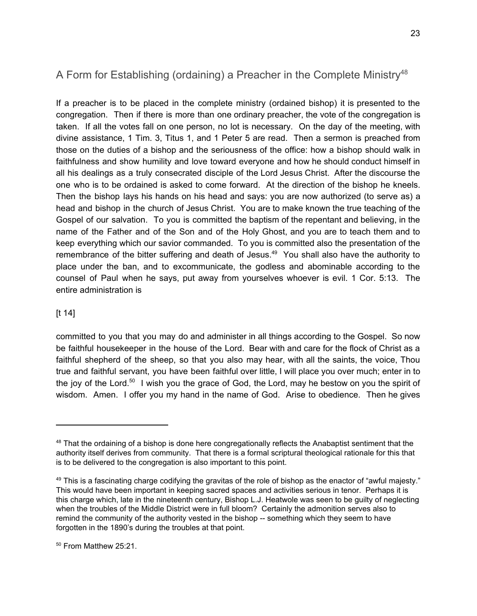## A Form for Establishing (ordaining) a Preacher in the Complete Ministry<sup>48</sup>

If a preacher is to be placed in the complete ministry (ordained bishop) it is presented to the congregation. Then if there is more than one ordinary preacher, the vote of the congregation is taken. If all the votes fall on one person, no lot is necessary. On the day of the meeting, with divine assistance, 1 Tim. 3, Titus 1, and 1 Peter 5 are read. Then a sermon is preached from those on the duties of a bishop and the seriousness of the office: how a bishop should walk in faithfulness and show humility and love toward everyone and how he should conduct himself in all his dealings as a truly consecrated disciple of the Lord Jesus Christ. After the discourse the one who is to be ordained is asked to come forward. At the direction of the bishop he kneels. Then the bishop lays his hands on his head and says: you are now authorized (to serve as) a head and bishop in the church of Jesus Christ. You are to make known the true teaching of the Gospel of our salvation. To you is committed the baptism of the repentant and believing, in the name of the Father and of the Son and of the Holy Ghost, and you are to teach them and to keep everything which our savior commanded. To you is committed also the presentation of the remembrance of the bitter suffering and death of Jesus. $49$  You shall also have the authority to place under the ban, and to excommunicate, the godless and abominable according to the counsel of Paul when he says, put away from yourselves whoever is evil. 1 Cor. 5:13. The entire administration is

#### [t 14]

committed to you that you may do and administer in all things according to the Gospel. So now be faithful housekeeper in the house of the Lord. Bear with and care for the flock of Christ as a faithful shepherd of the sheep, so that you also may hear, with all the saints, the voice, Thou true and faithful servant, you have been faithful over little, I will place you over much; enter in to the joy of the Lord.<sup>50</sup> I wish you the grace of God, the Lord, may he bestow on you the spirit of wisdom. Amen. I offer you my hand in the name of God. Arise to obedience. Then he gives

<sup>50</sup> From Matthew 25:21.

<sup>&</sup>lt;sup>48</sup> That the ordaining of a bishop is done here congregationally reflects the Anabaptist sentiment that the authority itself derives from community. That there is a formal scriptural theological rationale for this that is to be delivered to the congregation is also important to this point.

 $49$  This is a fascinating charge codifying the gravitas of the role of bishop as the enactor of "awful majesty." This would have been important in keeping sacred spaces and activities serious in tenor. Perhaps it is this charge which, late in the nineteenth century, Bishop L.J. Heatwole was seen to be guilty of neglecting when the troubles of the Middle District were in full bloom? Certainly the admonition serves also to remind the community of the authority vested in the bishop -- something which they seem to have forgotten in the 1890's during the troubles at that point.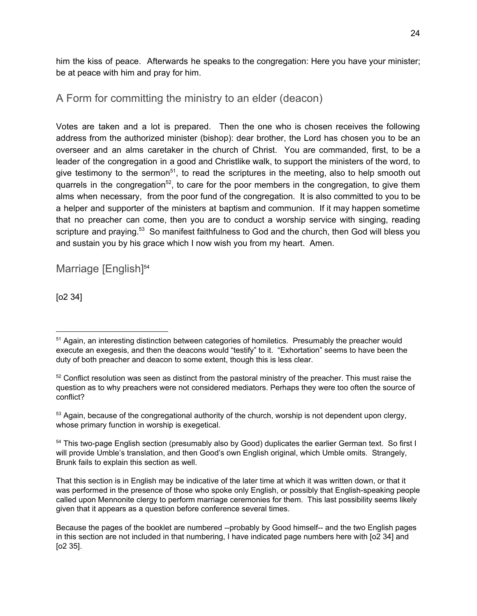him the kiss of peace. Afterwards he speaks to the congregation: Here you have your minister; be at peace with him and pray for him.

## A Form for committing the ministry to an elder (deacon)

Votes are taken and a lot is prepared. Then the one who is chosen receives the following address from the authorized minister (bishop): dear brother, the Lord has chosen you to be an overseer and an alms caretaker in the church of Christ. You are commanded, first, to be a leader of the congregation in a good and Christlike walk, to support the ministers of the word, to give testimony to the sermon<sup>51</sup>, to read the scriptures in the meeting, also to help smooth out quarrels in the congregation<sup>52</sup>, to care for the poor members in the congregation, to give them alms when necessary, from the poor fund of the congregation. It is also committed to you to be a helper and supporter of the ministers at baptism and communion. If it may happen sometime that no preacher can come, then you are to conduct a worship service with singing, reading scripture and praying.<sup>53</sup> So manifest faithfulness to God and the church, then God will bless you and sustain you by his grace which I now wish you from my heart. Amen.

Marriage [English] 54

[o2 34]

<sup>&</sup>lt;sup>51</sup> Again, an interesting distinction between categories of homiletics. Presumably the preacher would execute an exegesis, and then the deacons would "testify" to it. "Exhortation" seems to have been the duty of both preacher and deacon to some extent, though this is less clear.

<sup>&</sup>lt;sup>52</sup> Conflict resolution was seen as distinct from the pastoral ministry of the preacher. This must raise the question as to why preachers were not considered mediators. Perhaps they were too often the source of conflict?

 $53$  Again, because of the congregational authority of the church, worship is not dependent upon clergy, whose primary function in worship is exegetical.

<sup>&</sup>lt;sup>54</sup> This two-page English section (presumably also by Good) duplicates the earlier German text. So first I will provide Umble's translation, and then Good's own English original, which Umble omits. Strangely, Brunk fails to explain this section as well.

That this section is in English may be indicative of the later time at which it was written down, or that it was performed in the presence of those who spoke only English, or possibly that English-speaking people called upon Mennonite clergy to perform marriage ceremonies for them. This last possibility seems likely given that it appears as a question before conference several times.

Because the pages of the booklet are numbered --probably by Good himself-- and the two English pages in this section are not included in that numbering, I have indicated page numbers here with [o2 34] and [o2 35].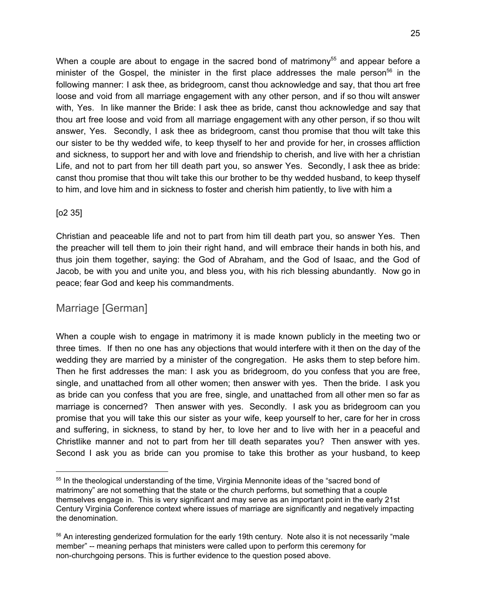When a couple are about to engage in the sacred bond of matrimony $55$  and appear before a minister of the Gospel, the minister in the first place addresses the male person<sup>56</sup> in the following manner: I ask thee, as bridegroom, canst thou acknowledge and say, that thou art free loose and void from all marriage engagement with any other person, and if so thou wilt answer with, Yes. In like manner the Bride: I ask thee as bride, canst thou acknowledge and say that thou art free loose and void from all marriage engagement with any other person, if so thou wilt answer, Yes. Secondly, I ask thee as bridegroom, canst thou promise that thou wilt take this our sister to be thy wedded wife, to keep thyself to her and provide for her, in crosses affliction and sickness, to support her and with love and friendship to cherish, and live with her a christian Life, and not to part from her till death part you, so answer Yes. Secondly, I ask thee as bride: canst thou promise that thou wilt take this our brother to be thy wedded husband, to keep thyself to him, and love him and in sickness to foster and cherish him patiently, to live with him a

#### [o2 35]

Christian and peaceable life and not to part from him till death part you, so answer Yes. Then the preacher will tell them to join their right hand, and will embrace their hands in both his, and thus join them together, saying: the God of Abraham, and the God of Isaac, and the God of Jacob, be with you and unite you, and bless you, with his rich blessing abundantly. Now go in peace; fear God and keep his commandments.

## Marriage [German]

When a couple wish to engage in matrimony it is made known publicly in the meeting two or three times. If then no one has any objections that would interfere with it then on the day of the wedding they are married by a minister of the congregation. He asks them to step before him. Then he first addresses the man: I ask you as bridegroom, do you confess that you are free, single, and unattached from all other women; then answer with yes. Then the bride. I ask you as bride can you confess that you are free, single, and unattached from all other men so far as marriage is concerned? Then answer with yes. Secondly. I ask you as bridegroom can you promise that you will take this our sister as your wife, keep yourself to her, care for her in cross and suffering, in sickness, to stand by her, to love her and to live with her in a peaceful and Christlike manner and not to part from her till death separates you? Then answer with yes. Second I ask you as bride can you promise to take this brother as your husband, to keep

<sup>&</sup>lt;sup>55</sup> In the theological understanding of the time, Virginia Mennonite ideas of the "sacred bond of matrimony" are not something that the state or the church performs, but something that a couple themselves engage in. This is very significant and may serve as an important point in the early 21st Century Virginia Conference context where issues of marriage are significantly and negatively impacting the denomination.

<sup>&</sup>lt;sup>56</sup> An interesting genderized formulation for the early 19th century. Note also it is not necessarily "male member" -- meaning perhaps that ministers were called upon to perform this ceremony for non-churchgoing persons. This is further evidence to the question posed above.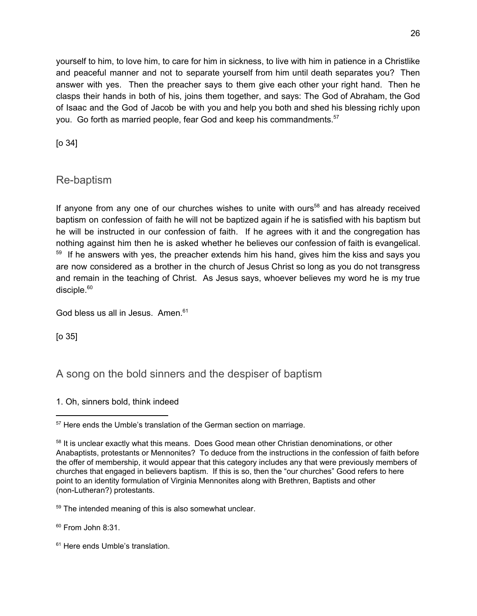yourself to him, to love him, to care for him in sickness, to live with him in patience in a Christlike and peaceful manner and not to separate yourself from him until death separates you? Then answer with yes. Then the preacher says to them give each other your right hand. Then he clasps their hands in both of his, joins them together, and says: The God of Abraham, the God of Isaac and the God of Jacob be with you and help you both and shed his blessing richly upon you. Go forth as married people, fear God and keep his commandments.<sup>57</sup>

[o 34]

Re-baptism

If anyone from any one of our churches wishes to unite with ours<sup>58</sup> and has already received baptism on confession of faith he will not be baptized again if he is satisfied with his baptism but he will be instructed in our confession of faith. If he agrees with it and the congregation has nothing against him then he is asked whether he believes our confession of faith is evangelical.  $59$  If he answers with yes, the preacher extends him his hand, gives him the kiss and says you are now considered as a brother in the church of Jesus Christ so long as you do not transgress and remain in the teaching of Christ. As Jesus says, whoever believes my word he is my true disciple.<sup>60</sup>

God bless us all in Jesus. Amen. 61

[o 35]

A song on the bold sinners and the despiser of baptism

1. Oh, sinners bold, think indeed

<sup>59</sup> The intended meaning of this is also somewhat unclear.

<sup>60</sup> From John 8:31.

<sup>61</sup> Here ends Umble's translation.

<sup>&</sup>lt;sup>57</sup> Here ends the Umble's translation of the German section on marriage.

<sup>&</sup>lt;sup>58</sup> It is unclear exactly what this means. Does Good mean other Christian denominations, or other Anabaptists, protestants or Mennonites? To deduce from the instructions in the confession of faith before the offer of membership, it would appear that this category includes any that were previously members of churches that engaged in believers baptism. If this is so, then the "our churches" Good refers to here point to an identity formulation of Virginia Mennonites along with Brethren, Baptists and other (non-Lutheran?) protestants.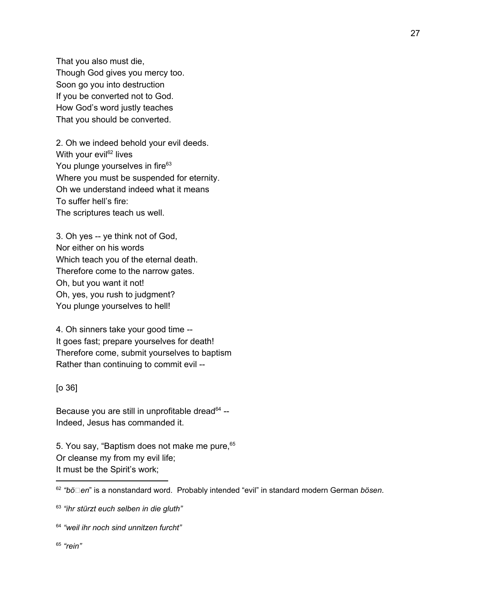That you also must die, Though God gives you mercy too. Soon go you into destruction If you be converted not to God. How God's word justly teaches That you should be converted.

2. Oh we indeed behold your evil deeds. With your evil<sup>62</sup> lives You plunge yourselves in fire<sup>63</sup> Where you must be suspended for eternity. Oh we understand indeed what it means To suffer hell's fire: The scriptures teach us well.

3. Oh yes -- ye think not of God, Nor either on his words Which teach you of the eternal death. Therefore come to the narrow gates. Oh, but you want it not! Oh, yes, you rush to judgment? You plunge yourselves to hell!

4. Oh sinners take your good time -- It goes fast; prepare yourselves for death! Therefore come, submit yourselves to baptism Rather than continuing to commit evil --

#### [o 36]

Because you are still in unprofitable dread<sup>64</sup> --Indeed, Jesus has commanded it.

5. You say, "Baptism does not make me pure, 65 Or cleanse my from my evil life; It must be the Spirit's work;

65 *"rein"*

<sup>&</sup>lt;sup>62</sup> "bö⊡en" is a nonstandard word. Probably intended "evil" in standard modern German *bösen*.

<sup>63</sup> *"ihr stürzt euch selben in die gluth"*

<sup>64</sup> *"weil ihr noch sind unnitzen furcht"*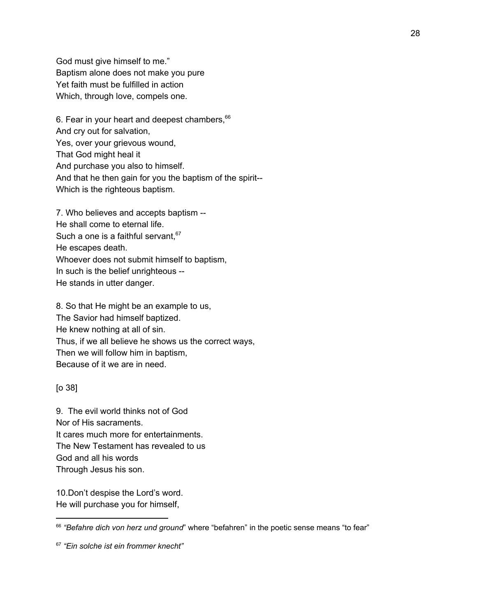God must give himself to me." Baptism alone does not make you pure Yet faith must be fulfilled in action Which, through love, compels one.

6. Fear in your heart and deepest chambers, 66 And cry out for salvation, Yes, over your grievous wound, That God might heal it And purchase you also to himself. And that he then gain for you the baptism of the spirit-- Which is the righteous baptism.

7. Who believes and accepts baptism -- He shall come to eternal life. Such a one is a faithful servant,<sup>67</sup> He escapes death. Whoever does not submit himself to baptism, In such is the belief unrighteous -- He stands in utter danger.

8. So that He might be an example to us, The Savior had himself baptized. He knew nothing at all of sin. Thus, if we all believe he shows us the correct ways, Then we will follow him in baptism, Because of it we are in need.

[o 38]

9. The evil world thinks not of God Nor of His sacraments. It cares much more for entertainments. The New Testament has revealed to us God and all his words Through Jesus his son.

10.Don't despise the Lord's word. He will purchase you for himself,

<sup>66</sup> *"Befahre dich von herz und ground*" where "befahren" in the poetic sense means "to fear"

<sup>67</sup> *"Ein solche ist ein frommer knecht"*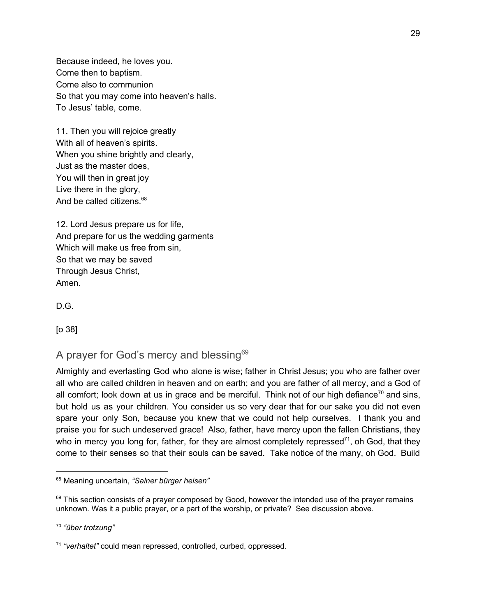Because indeed, he loves you. Come then to baptism. Come also to communion So that you may come into heaven's halls. To Jesus' table, come.

11. Then you will rejoice greatly With all of heaven's spirits. When you shine brightly and clearly, Just as the master does, You will then in great joy Live there in the glory, And be called citizens.<sup>68</sup>

12. Lord Jesus prepare us for life, And prepare for us the wedding garments Which will make us free from sin, So that we may be saved Through Jesus Christ, Amen.

D.G.

[o 38]

## A prayer for God's mercy and blessing<sup>69</sup>

Almighty and everlasting God who alone is wise; father in Christ Jesus; you who are father over all who are called children in heaven and on earth; and you are father of all mercy, and a God of all comfort; look down at us in grace and be merciful. Think not of our high defiance<sup>70</sup> and sins, but hold us as your children. You consider us so very dear that for our sake you did not even spare your only Son, because you knew that we could not help ourselves. I thank you and praise you for such undeserved grace! Also, father, have mercy upon the fallen Christians, they who in mercy you long for, father, for they are almost completely repressed<sup>71</sup>, oh God, that they come to their senses so that their souls can be saved. Take notice of the many, oh God. Build

<sup>68</sup> Meaning uncertain, *"Salner bürger heisen"*

 $69$  This section consists of a prayer composed by Good, however the intended use of the prayer remains unknown. Was it a public prayer, or a part of the worship, or private? See discussion above.

<sup>70</sup> *"über trotzung"*

<sup>71</sup> *"verhaltet"* could mean repressed, controlled, curbed, oppressed.